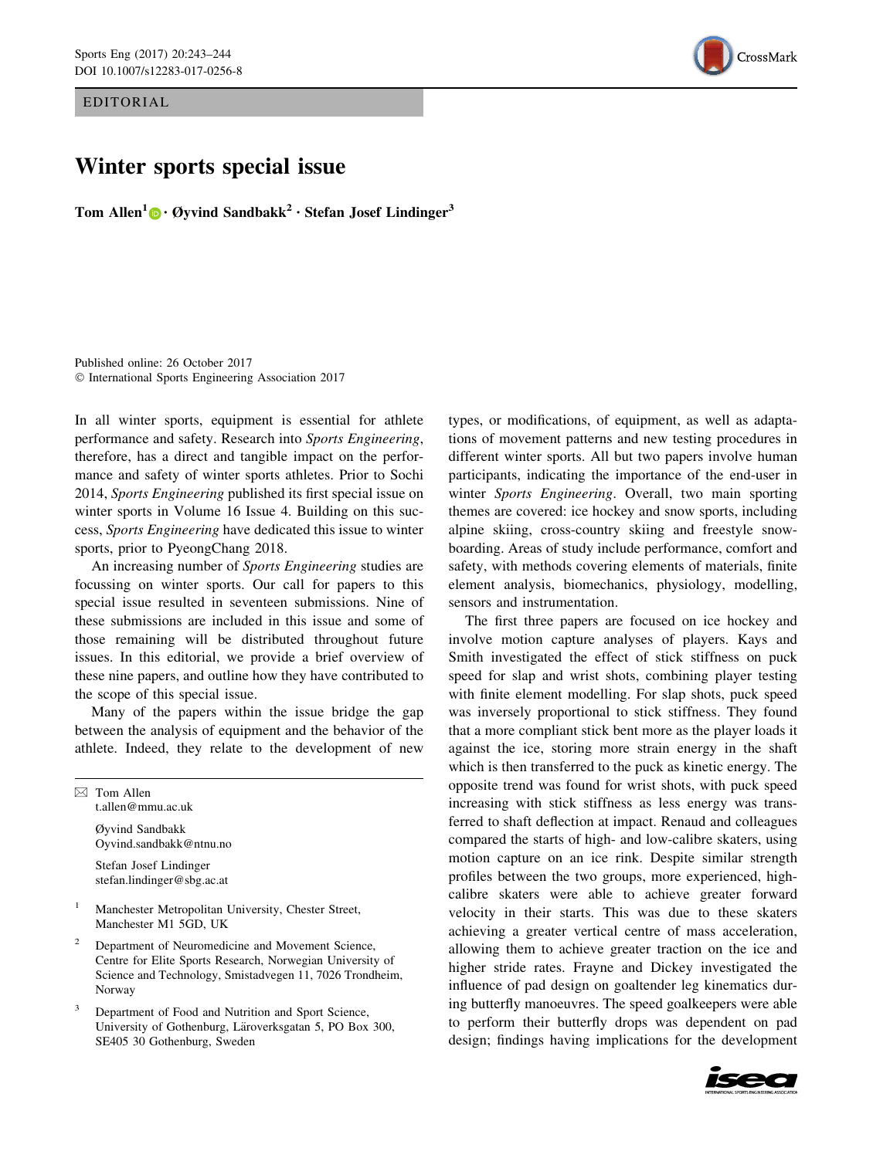EDITORIAL



## Winter sports special issue

Tom Allen<sup>1</sup> • Øyvind Sandbakk<sup>2</sup> · Stefan Josef Lindinger<sup>3</sup>

Published online: 26 October 2017 - International Sports Engineering Association 2017

In all winter sports, equipment is essential for athlete performance and safety. Research into Sports Engineering, therefore, has a direct and tangible impact on the performance and safety of winter sports athletes. Prior to Sochi 2014, Sports Engineering published its first special issue on winter sports in Volume 16 Issue 4. Building on this success, Sports Engineering have dedicated this issue to winter sports, prior to PyeongChang 2018.

An increasing number of Sports Engineering studies are focussing on winter sports. Our call for papers to this special issue resulted in seventeen submissions. Nine of these submissions are included in this issue and some of those remaining will be distributed throughout future issues. In this editorial, we provide a brief overview of these nine papers, and outline how they have contributed to the scope of this special issue.

Many of the papers within the issue bridge the gap between the analysis of equipment and the behavior of the athlete. Indeed, they relate to the development of new

 $\boxtimes$  Tom Allen t.allen@mmu.ac.uk Øyvind Sandbakk Oyvind.sandbakk@ntnu.no Stefan Josef Lindinger stefan.lindinger@sbg.ac.at <sup>1</sup> Manchester Metropolitan University, Chester Street, Manchester M1 5GD, UK <sup>2</sup> Department of Neuromedicine and Movement Science, Centre for Elite Sports Research, Norwegian University of Science and Technology, Smistadvegen 11, 7026 Trondheim, Norway

Department of Food and Nutrition and Sport Science, University of Gothenburg, Läroverksgatan 5, PO Box 300, SE405 30 Gothenburg, Sweden

types, or modifications, of equipment, as well as adaptations of movement patterns and new testing procedures in different winter sports. All but two papers involve human participants, indicating the importance of the end-user in winter Sports Engineering. Overall, two main sporting themes are covered: ice hockey and snow sports, including alpine skiing, cross-country skiing and freestyle snowboarding. Areas of study include performance, comfort and safety, with methods covering elements of materials, finite element analysis, biomechanics, physiology, modelling, sensors and instrumentation.

The first three papers are focused on ice hockey and involve motion capture analyses of players. Kays and Smith investigated the effect of stick stiffness on puck speed for slap and wrist shots, combining player testing with finite element modelling. For slap shots, puck speed was inversely proportional to stick stiffness. They found that a more compliant stick bent more as the player loads it against the ice, storing more strain energy in the shaft which is then transferred to the puck as kinetic energy. The opposite trend was found for wrist shots, with puck speed increasing with stick stiffness as less energy was transferred to shaft deflection at impact. Renaud and colleagues compared the starts of high- and low-calibre skaters, using motion capture on an ice rink. Despite similar strength profiles between the two groups, more experienced, highcalibre skaters were able to achieve greater forward velocity in their starts. This was due to these skaters achieving a greater vertical centre of mass acceleration, allowing them to achieve greater traction on the ice and higher stride rates. Frayne and Dickey investigated the influence of pad design on goaltender leg kinematics during butterfly manoeuvres. The speed goalkeepers were able to perform their butterfly drops was dependent on pad design; findings having implications for the development